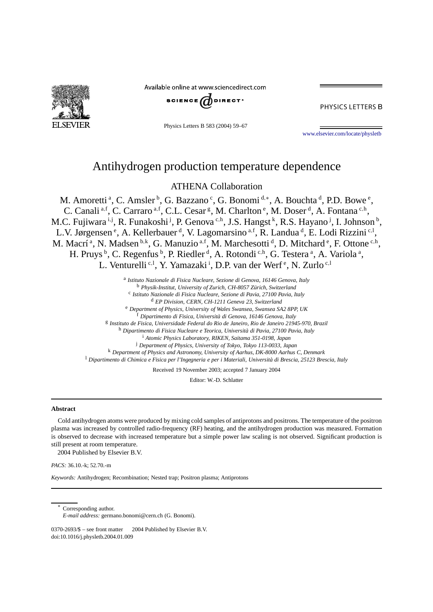

Available online at www.sciencedirect.com



PHYSICS LETTERS B

Physics Letters B 583 (2004) 59–67

[www.elsevier.com/locate/physletb](http://www.elsevier.com/locate/physletb)

# Antihydrogen production temperature dependence

ATHENA Collaboration

M. Amoretti<sup>a</sup>, C. Amsler<sup>b</sup>, G. Bazzano<sup>c</sup>, G. Bonomi<sup>d,\*</sup>, A. Bouchta<sup>d</sup>, P.D. Bowe<sup>e</sup>, C. Canali<sup>a, f</sup>, C. Carraro<sup>a, f</sup>, C.L. Cesar<sup>g</sup>, M. Charlton<sup>e</sup>, M. Doser<sup>d</sup>, A. Fontana<sup>c, h</sup>, M.C. Fujiwara *i,j*, R. Funakoshi <sup>j</sup>, P. Genova <sup>c,h</sup>, J.S. Hangst <sup>k</sup>, R.S. Hayano <sup>j</sup>, I. Johnson <sup>b</sup>, L.V. Jørgensen<sup>e</sup>, A. Kellerbauer<sup>d</sup>, V. Lagomarsino<sup>a,f</sup>, R. Landua<sup>d</sup>, E. Lodi Rizzini<sup>c,l</sup>, M. Macrí<sup>a</sup>, N. Madsen<sup>b,k</sup>, G. Manuzio<sup>a,f</sup>, M. Marchesotti<sup>d</sup>, D. Mitchard<sup>e</sup>, F. Ottone<sup>c,h</sup>, H. Pruys <sup>b</sup>, C. Regenfus <sup>b</sup>, P. Riedler <sup>d</sup>, A. Rotondi <sup>c,h</sup>, G. Testera <sup>a</sup>, A. Variola <sup>a</sup>, L. Venturelli <sup>c, l</sup>, Y. Yamazaki <sup>i</sup>, D.P. van der Werf <sup>e</sup>, N. Zurlo <sup>c, l</sup>

> <sup>a</sup> *Istituto Nazionale di Fisica Nucleare, Sezione di Genova, 16146 Genova, Italy* <sup>b</sup> *Physik-Institut, University of Zurich, CH-8057 Zürich, Switzerland* <sup>c</sup> *Istituto Nazionale di Fisica Nucleare, Sezione di Pavia, 27100 Pavia, Italy*

<sup>d</sup> *EP Division, CERN, CH-1211 Geneva 23, Switzerland*

<sup>e</sup> *Department of Physics, University of Wales Swansea, Swansea SA2 8PP, UK*

<sup>f</sup> *Dipartimento di Fisica, Università di Genova, 16146 Genova, Italy*

<sup>g</sup> *Instituto de Fisica, Universidade Federal do Rio de Janeiro, Rio de Janeiro 21945-970, Brazil*

<sup>h</sup> *Dipartimento di Fisica Nucleare e Teorica, Università di Pavia, 27100 Pavia, Italy*

<sup>i</sup> *Atomic Physics Laboratory, RIKEN, Saitama 351-0198, Japan*

<sup>j</sup> *Department of Physics, University of Tokyo, Tokyo 113-0033, Japan*

<sup>k</sup> *Department of Physics and Astronomy, University of Aarhus, DK-8000 Aarhus C, Denmark*

<sup>l</sup> *Dipartimento di Chimica e Fisica per l'Ingegneria e per i Materiali, Università di Brescia, 25123 Brescia, Italy*

Received 19 November 2003; accepted 7 January 2004

Editor: W.-D. Schlatter

## **Abstract**

Cold antihydrogen atoms were produced by mixing cold samples of antiprotons and positrons. The temperature of the positron plasma was increased by controlled radio-frequency (RF) heating, and the antihydrogen production was measured. Formation is observed to decrease with increased temperature but a simple power law scaling is not observed. Significant production is still present at room temperature.

2004 Published by Elsevier B.V.

*PACS:* 36.10.-k; 52.70.-m

*Keywords:* Antihydrogen; Recombination; Nested trap; Positron plasma; Antiprotons

Corresponding author.

*E-mail address:* germano.bonomi@cern.ch (G. Bonomi).

<sup>0370-2693/\$ –</sup> see front matter  $\degree$  2004 Published by Elsevier B.V. doi:10.1016/j.physletb.2004.01.009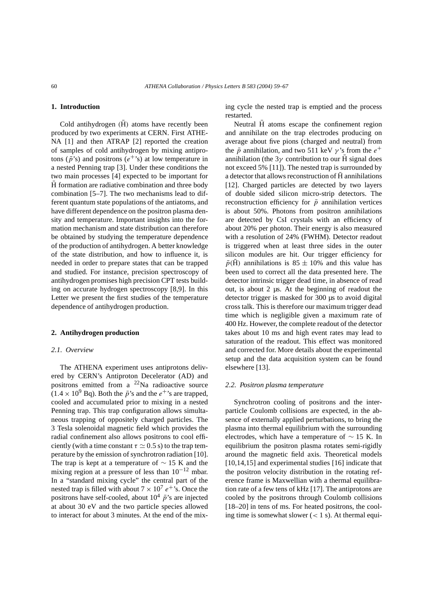### **1. Introduction**

Cold antihydrogen  $(\bar{H})$  atoms have recently been produced by two experiments at CERN. First ATHE-NA [1] and then ATRAP [2] reported the creation of samples of cold antihydrogen by mixing antiprotons  $(\bar{p}$ 's) and positrons  $(e^{+}$ 's) at low temperature in a nested Penning trap [3]. Under these conditions the two main processes [4] expected to be important for  $\bar{H}$  formation are radiative combination and three body combination [5–7]. The two mechanisms lead to different quantum state populations of the antiatoms, and have different dependence on the positron plasma density and temperature. Important insights into the formation mechanism and state distribution can therefore be obtained by studying the temperature dependence of the production of antihydrogen. A better knowledge of the state distribution, and how to influence it, is needed in order to prepare states that can be trapped and studied. For instance, precision spectroscopy of antihydrogen promises high precision CPT tests building on accurate hydrogen spectroscopy [8,9]. In this Letter we present the first studies of the temperature dependence of antihydrogen production.

#### **2. Antihydrogen production**

#### *2.1. Overview*

The ATHENA experiment uses antiprotons delivered by CERN's Antiproton Decelerator (AD) and positrons emitted from a  $^{22}$ Na radioactive source  $(1.4 \times 10^9$  Bq). Both the  $\bar{p}$ 's and the  $e^+$ 's are trapped, cooled and accumulated prior to mixing in a nested Penning trap. This trap configuration allows simultaneous trapping of oppositely charged particles. The 3 Tesla solenoidal magnetic field which provides the radial confinement also allows positrons to cool efficiently (with a time constant  $\tau \simeq 0.5$  s) to the trap temperature by the emission of synchrotron radiation [10]. The trap is kept at a temperature of  $\sim$  15 K and the mixing region at a pressure of less than 10−<sup>12</sup> mbar. In a "standard mixing cycle" the central part of the nested trap is filled with about  $7 \times 10^7 e^{+}$ 's. Once the positrons have self-cooled, about  $10^4$   $\bar{p}$ 's are injected at about 30 eV and the two particle species allowed to interact for about 3 minutes. At the end of the mixing cycle the nested trap is emptied and the process restarted.

Neutral  $\overline{H}$  atoms escape the confinement region and annihilate on the trap electrodes producing on average about five pions (charged and neutral) from the  $\bar{p}$  annihilation, and two 511 keV  $\gamma$ 's from the  $e^+$ annihilation (the  $3\gamma$  contribution to our H signal does not exceed 5% [11]). The nested trap is surrounded by a detector that allows reconstruction of  $\bar{H}$  annihilations [12]. Charged particles are detected by two layers of double sided silicon micro-strip detectors. The reconstruction efficiency for  $\bar{p}$  annihilation vertices is about 50%. Photons from positron annihilations are detected by CsI crystals with an efficiency of about 20% per photon. Their energy is also measured with a resolution of 24% (FWHM). Detector readout is triggered when at least three sides in the outer silicon modules are hit. Our trigger efficiency for  $\bar{p}(\bar{H})$  annihilations is 85  $\pm$  10% and this value has been used to correct all the data presented here. The detector intrinsic trigger dead time, in absence of read out, is about 2 µs. At the beginning of readout the detector trigger is masked for 300 µs to avoid digital cross talk. This is therefore our maximum trigger dead time which is negligible given a maximum rate of 400 Hz. However, the complete readout of the detector takes about 10 ms and high event rates may lead to saturation of the readout. This effect was monitored and corrected for. More details about the experimental setup and the data acquisition system can be found elsewhere [13].

#### *2.2. Positron plasma temperature*

Synchrotron cooling of positrons and the interparticle Coulomb collisions are expected, in the absence of externally applied perturbations, to bring the plasma into thermal equilibrium with the surrounding electrodes, which have a temperature of  $\sim$  15 K. In equilibrium the positron plasma rotates semi-rigidly around the magnetic field axis. Theoretical models [10,14,15] and experimental studies [16] indicate that the positron velocity distribution in the rotating reference frame is Maxwellian with a thermal equilibration rate of a few tens of kHz [17]. The antiprotons are cooled by the positrons through Coulomb collisions [18–20] in tens of ms. For heated positrons, the cooling time is somewhat slower  $(< 1 \text{ s})$ . At thermal equi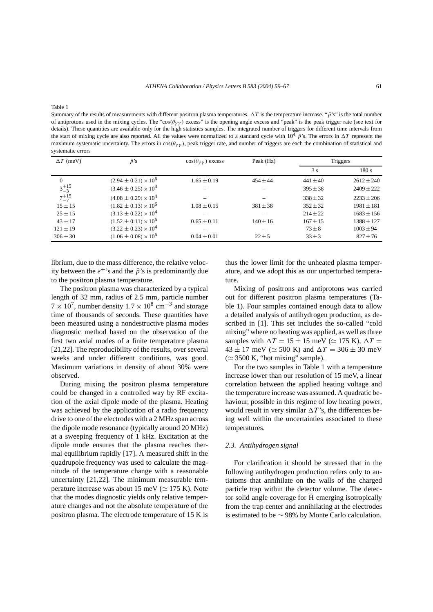Table 1

Summary of the results of measurements with different positron plasma temperatures.  *T* is the temperature increase. "*p*¯'s" is the total number of antiprotons used in the mixing cycles. The "cos $(\theta_{\gamma\gamma})$  excess" is the opening angle excess and "peak" is the peak trigger rate (see text for details). These quantities are available only for the high statistics samples. The integrated number of triggers for different time intervals from the start of mixing cycle are also reported. All the values were normalized to a standard cycle with  $10^4$   $\bar{p}$ 's. The errors in  $\Delta T$  represent the maximum systematic uncertainty. The errors in  $\cos(\theta_{\gamma\gamma})$ , peak trigger rate, and number of triggers are each the combination of statistical and systematic errors

| $\Delta T$ (meV) | $\bar{p}$ 's                    | $cos(\theta_{\nu\nu})$ excess | Peak (Hz)    | Triggers     |                |
|------------------|---------------------------------|-------------------------------|--------------|--------------|----------------|
|                  |                                 |                               |              | 3s           | 180 s          |
| $\Omega$         | $(2.94 \pm 0.21) \times 10^6$   | $1.65 \pm 0.19$               | $454 \pm 44$ | $441 + 40$   | $2612 \pm 240$ |
| $3^{+15}_{-3}$   | $(3.46 \pm 0.25) \times 10^4$   |                               |              | $395 \pm 38$ | $2409 \pm 222$ |
| $7^{+15}_{-7}$   | $(4.08 \pm 0.29) \times 10^4$   |                               |              | $338 \pm 32$ | $2233 \pm 206$ |
| $15 \pm 15$      | $(1.82 \pm 0.13) \times 10^6$   | $1.08 \pm 0.15$               | $381 \pm 38$ | $352 \pm 32$ | $1981 \pm 181$ |
| $25 \pm 15$      | $(3.13 \pm 0.22) \times 10^{4}$ |                               |              | $214 + 22$   | $1683 \pm 156$ |
| $43 + 17$        | $(1.52 \pm 0.11) \times 10^6$   | $0.65 \pm 0.11$               | $140 \pm 16$ | $167 + 15$   | $1388 \pm 127$ |
| $121 \pm 19$     | $(3.22 \pm 0.23) \times 10^4$   |                               |              | $73 \pm 8$   | $1003 \pm 94$  |
| $306 \pm 30$     | $(1.06 \pm 0.08) \times 10^6$   | $0.04 \pm 0.01$               | $22 \pm 5$   | $33 \pm 3$   | $827 \pm 76$   |

librium, due to the mass difference, the relative velocity between the  $e^{+}$ 's and the  $\bar{p}$ 's is predominantly due to the positron plasma temperature.

The positron plasma was characterized by a typical length of 32 mm, radius of 2.5 mm, particle number  $7 \times 10^7$ , number density  $1.7 \times 10^8$  cm<sup>-3</sup> and storage time of thousands of seconds. These quantities have been measured using a nondestructive plasma modes diagnostic method based on the observation of the first two axial modes of a finite temperature plasma [21,22]. The reproducibility of the results, over several weeks and under different conditions, was good. Maximum variations in density of about 30% were observed.

During mixing the positron plasma temperature could be changed in a controlled way by RF excitation of the axial dipole mode of the plasma. Heating was achieved by the application of a radio frequency drive to one of the electrodes with a 2 MHz span across the dipole mode resonance (typically around 20 MHz) at a sweeping frequency of 1 kHz. Excitation at the dipole mode ensures that the plasma reaches thermal equilibrium rapidly [17]. A measured shift in the quadrupole frequency was used to calculate the magnitude of the temperature change with a reasonable uncertainty [21,22]. The minimum measurable temperature increase was about 15 meV ( $\simeq$  175 K). Note that the modes diagnostic yields only relative temperature changes and not the absolute temperature of the positron plasma. The electrode temperature of 15 K is

thus the lower limit for the unheated plasma temperature, and we adopt this as our unperturbed temperature.

Mixing of positrons and antiprotons was carried out for different positron plasma temperatures (Table 1). Four samples contained enough data to allow a detailed analysis of antihydrogen production, as described in [1]. This set includes the so-called "cold mixing" where no heating was applied, as well as three samples with  $\Delta T = 15 \pm 15$  meV ( $\simeq$  175 K),  $\Delta T =$  $43 \pm 17$  meV ( $\simeq 500$  K) and  $\Delta T = 306 \pm 30$  meV  $(\simeq 3500 \text{ K}, \text{``hot mixing'' sample)}.$ 

For the two samples in Table 1 with a temperature increase lower than our resolution of 15 meV, a linear correlation between the applied heating voltage and the temperature increase was assumed. A quadratic behaviour, possible in this regime of low heating power, would result in very similar  $\Delta T$ 's, the differences being well within the uncertainties associated to these temperatures.

#### *2.3. Antihydrogen signal*

For clarification it should be stressed that in the following antihydrogen production refers only to antiatoms that annihilate on the walls of the charged particle trap within the detector volume. The detector solid angle coverage for  $\bar{H}$  emerging isotropically from the trap center and annihilating at the electrodes is estimated to be ∼ 98% by Monte Carlo calculation.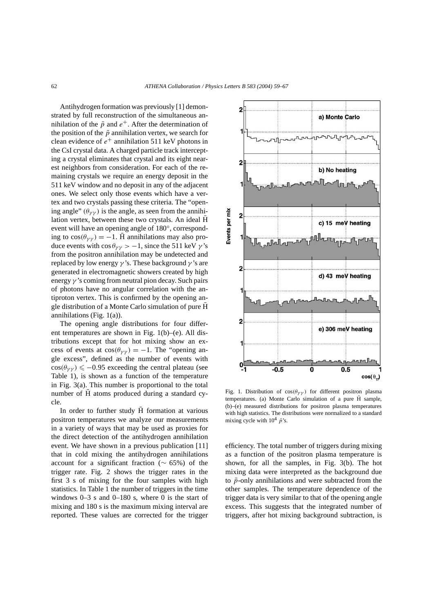Antihydrogen formation was previously [1] demonstrated by full reconstruction of the simultaneous annihilation of the  $\bar{p}$  and  $e^+$ . After the determination of the position of the  $\bar{p}$  annihilation vertex, we search for clean evidence of  $e^+$  annihilation 511 keV photons in the CsI crystal data. A charged particle track intercepting a crystal eliminates that crystal and its eight nearest neighbors from consideration. For each of the remaining crystals we require an energy deposit in the 511 keV window and no deposit in any of the adjacent ones. We select only those events which have a vertex and two crystals passing these criteria. The "opening angle"  $(\theta_{\gamma\gamma})$  is the angle, as seen from the annihilation vertex, between these two crystals. An ideal H¯ event will have an opening angle of 180◦, corresponding to  $\cos(\theta_{\gamma\gamma}) = -1$ . H annihilations may also produce events with  $\cos \theta_{\gamma\gamma}$  > −1, since the 511 keV  $\gamma$ 's from the positron annihilation may be undetected and replaced by low energy *γ* 's. These background *γ* 's are generated in electromagnetic showers created by high energy *γ* 's coming from neutral pion decay. Such pairs of photons have no angular correlation with the antiproton vertex. This is confirmed by the opening angle distribution of a Monte Carlo simulation of pure  $\overline{H}$ annihilations (Fig. 1(a)).

The opening angle distributions for four different temperatures are shown in Fig. 1(b)–(e). All distributions except that for hot mixing show an excess of events at  $cos(\theta_{\gamma\gamma}) = -1$ . The "opening angle excess", defined as the number of events with  $\cos(\theta_{\gamma\gamma}) \leq -0.95$  exceeding the central plateau (see Table 1), is shown as a function of the temperature in Fig. 3(a). This number is proportional to the total number of  $\overline{H}$  atoms produced during a standard cycle.

In order to further study  $\overline{H}$  formation at various positron temperatures we analyze our measurements in a variety of ways that may be used as proxies for the direct detection of the antihydrogen annihilation event. We have shown in a previous publication [11] that in cold mixing the antihydrogen annihilations account for a significant fraction ( $\sim$  65%) of the trigger rate. Fig. 2 shows the trigger rates in the first 3 s of mixing for the four samples with high statistics. In Table 1 the number of triggers in the time windows  $0-3$  s and  $0-180$  s, where 0 is the start of mixing and 180 s is the maximum mixing interval are reported. These values are corrected for the trigger



Fig. 1. Distribution of  $cos(\theta_{\gamma\gamma})$  for different positron plasma temperatures. (a) Monte Carlo simulation of a pure  $\overline{H}$  sample, (b)–(e) measured distributions for positron plasma temperatures with high statistics. The distributions were normalized to a standard mixing cycle with  $10^4 \bar{p}$ 's.

efficiency. The total number of triggers during mixing as a function of the positron plasma temperature is shown, for all the samples, in Fig. 3(b). The hot mixing data were interpreted as the background due to  $\bar{p}$ -only annihilations and were subtracted from the other samples. The temperature dependence of the trigger data is very similar to that of the opening angle excess. This suggests that the integrated number of triggers, after hot mixing background subtraction, is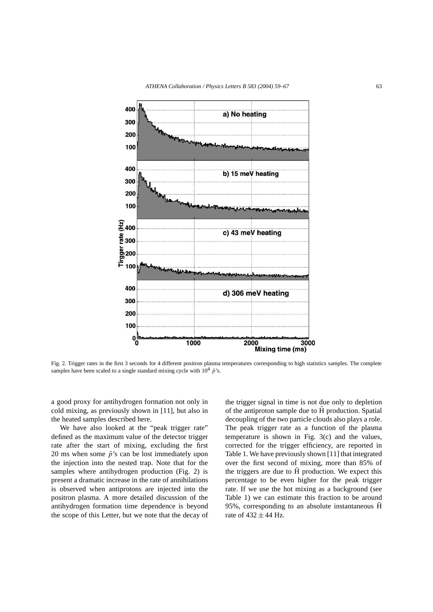

Fig. 2. Trigger rates in the first 3 seconds for 4 different positron plasma temperatures corresponding to high statistics samples. The complete samples have been scaled to a single standard mixing cycle with  $10^4 \bar{p}$ 's.

a good proxy for antihydrogen formation not only in cold mixing, as previously shown in [11], but also in the heated samples described here.

We have also looked at the "peak trigger rate" defined as the maximum value of the detector trigger rate after the start of mixing, excluding the first 20 ms when some  $\bar{p}$ 's can be lost immediately upon the injection into the nested trap. Note that for the samples where antihydrogen production (Fig. 2) is present a dramatic increase in the rate of annihilations is observed when antiprotons are injected into the positron plasma. A more detailed discussion of the antihydrogen formation time dependence is beyond the scope of this Letter, but we note that the decay of the trigger signal in time is not due only to depletion of the antiproton sample due to H production. Spatial ¯ decoupling of the two particle clouds also plays a role. The peak trigger rate as a function of the plasma temperature is shown in Fig. 3(c) and the values, corrected for the trigger efficiency, are reported in Table 1. We have previously shown [11] that integrated over the first second of mixing, more than 85% of the triggers are due to  $\overline{H}$  production. We expect this percentage to be even higher for the peak trigger rate. If we use the hot mixing as a background (see Table 1) we can estimate this fraction to be around 95%, corresponding to an absolute instantaneous  $\overline{H}$ rate of  $432 + 44$  Hz.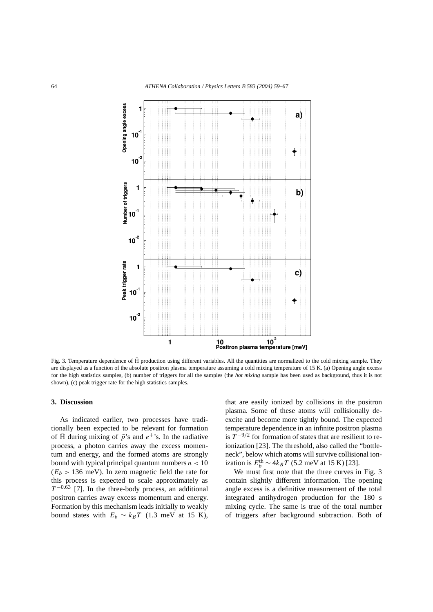

Fig. 3. Temperature dependence of  $\overline{H}$  production using different variables. All the quantities are normalized to the cold mixing sample. They are displayed as a function of the absolute positron plasma temperature assuming a cold mixing temperature of 15 K. (a) Opening angle excess for the high statistics samples, (b) number of triggers for all the samples (the *hot mixing* sample has been used as background, thus it is not shown), (c) peak trigger rate for the high statistics samples.

# **3. Discussion**

As indicated earlier, two processes have traditionally been expected to be relevant for formation of  $\overline{H}$  during mixing of  $\overline{p}$ 's and  $e^{+}$ 's. In the radiative process, a photon carries away the excess momentum and energy, and the formed atoms are strongly bound with typical principal quantum numbers *n <* 10  $(E_b > 136 \text{ meV})$ . In zero magnetic field the rate for this process is expected to scale approximately as  $T^{-0.63}$  [7]. In the three-body process, an additional positron carries away excess momentum and energy. Formation by this mechanism leads initially to weakly bound states with  $E_b \sim k_B T$  (1.3 meV at 15 K), that are easily ionized by collisions in the positron plasma. Some of these atoms will collisionally deexcite and become more tightly bound. The expected temperature dependence in an infinite positron plasma is  $T^{-9/2}$  for formation of states that are resilient to reionization [23]. The threshold, also called the "bottleneck", below which atoms will survive collisional ionization is  $E_b^{\text{th}}$  ∼ 4 $k_B T$  (5.2 meV at 15 K) [23].

We must first note that the three curves in Fig. 3 contain slightly different information. The opening angle excess is a definitive measurement of the total integrated antihydrogen production for the 180 s mixing cycle. The same is true of the total number of triggers after background subtraction. Both of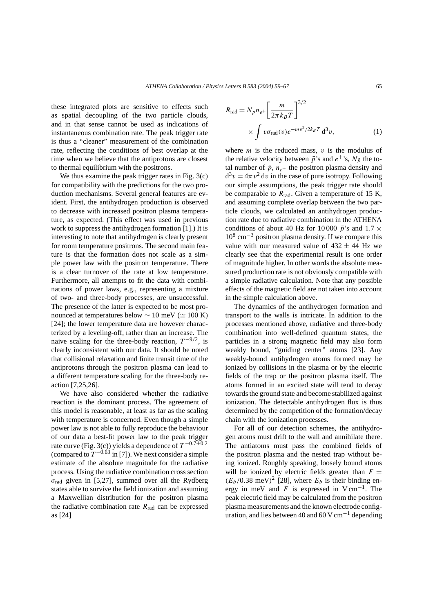these integrated plots are sensitive to effects such as spatial decoupling of the two particle clouds, and in that sense cannot be used as indications of instantaneous combination rate. The peak trigger rate is thus a "cleaner" measurement of the combination rate, reflecting the conditions of best overlap at the time when we believe that the antiprotons are closest to thermal equilibrium with the positrons.

We thus examine the peak trigger rates in Fig. 3(c) for compatibility with the predictions for the two production mechanisms. Several general features are evident. First, the antihydrogen production is observed to decrease with increased positron plasma temperature, as expected. (This effect was used in previous work to suppress the antihydrogen formation [1].) It is interesting to note that antihydrogen is clearly present for room temperature positrons. The second main feature is that the formation does not scale as a simple power law with the positron temperature. There is a clear turnover of the rate at low temperature. Furthermore, all attempts to fit the data with combinations of power laws, e.g., representing a mixture of two- and three-body processes, are unsuccessful. The presence of the latter is expected to be most pronounced at temperatures below  $\sim 10$  meV ( $\simeq 100$  K) [24]; the lower temperature data are however characterized by a leveling-off, rather than an increase. The naive scaling for the three-body reaction,  $T^{-9/2}$ , is clearly inconsistent with our data. It should be noted that collisional relaxation and finite transit time of the antiprotons through the positron plasma can lead to a different temperature scaling for the three-body reaction [7,25,26].

We have also considered whether the radiative reaction is the dominant process. The agreement of this model is reasonable, at least as far as the scaling with temperature is concerned. Even though a simple power law is not able to fully reproduce the behaviour of our data a best-fit power law to the peak trigger rate curve (Fig. 3(c)) yields a dependence of  $T^{-0.7\pm0.2}$ (compared to  $T^{-0.63}$  in [7]). We next consider a simple estimate of the absolute magnitude for the radiative process. Using the radiative combination cross section *σ*rad given in [5,27], summed over all the Rydberg states able to survive the field ionization and assuming a Maxwellian distribution for the positron plasma the radiative combination rate  $R_{rad}$  can be expressed as [24]

$$
R_{\rm rad} = N_{\bar{p}} n_{e^+} \left[ \frac{m}{2\pi k_B T} \right]^{3/2}
$$

$$
\times \int v \sigma_{\rm rad}(v) e^{-mv^2/2k_B T} d^3 v,
$$
 (1)

where *m* is the reduced mass, *v* is the modulus of the relative velocity between  $\bar{p}$ 's and  $e^{+}$ 's,  $N_{\bar{p}}$  the total number of  $\bar{p}$ ,  $n_{e^+}$  the positron plasma density and  $d^3v = 4\pi v^2 dv$  in the case of pure isotropy. Following our simple assumptions, the peak trigger rate should be comparable to  $R_{rad}$ . Given a temperature of 15 K, and assuming complete overlap between the two particle clouds, we calculated an antihydrogen production rate due to radiative combination in the ATHENA conditions of about 40 Hz for 10000  $\bar{p}$ 's and 1.7  $\times$  $10^8$  cm<sup>-3</sup> positron plasma density. If we compare this value with our measured value of  $432 \pm 44$  Hz we clearly see that the experimental result is one order of magnitude higher. In other words the absolute measured production rate is not obviously compatible with a simple radiative calculation. Note that any possible effects of the magnetic field are not taken into account in the simple calculation above.

The dynamics of the antihydrogen formation and transport to the walls is intricate. In addition to the processes mentioned above, radiative and three-body combination into well-defined quantum states, the particles in a strong magnetic field may also form weakly bound, "guiding center" atoms [23]. Any weakly-bound antihydrogen atoms formed may be ionized by collisions in the plasma or by the electric fields of the trap or the positron plasma itself. The atoms formed in an excited state will tend to decay towards the ground state and become stabilized against ionization. The detectable antihydrogen flux is thus determined by the competition of the formation/decay chain with the ionization processes.

For all of our detection schemes, the antihydrogen atoms must drift to the wall and annihilate there. The antiatoms must pass the combined fields of the positron plasma and the nested trap without being ionized. Roughly speaking, loosely bound atoms will be ionized by electric fields greater than  $F =$  $(E_b/0.38 \text{ meV})^2$  [28], where  $E_b$  is their binding energy in meV and  $F$  is expressed in  $V \text{ cm}^{-1}$ . The peak electric field may be calculated from the positron plasma measurements and the known electrode configuration, and lies between 40 and 60 V cm<sup>-1</sup> depending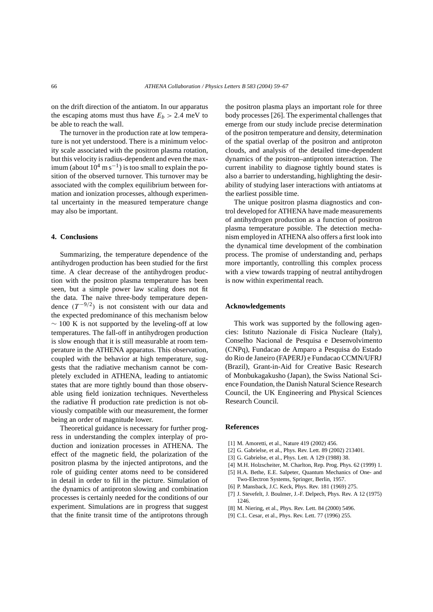on the drift direction of the antiatom. In our apparatus the escaping atoms must thus have  $E_b > 2.4$  meV to be able to reach the wall.

The turnover in the production rate at low temperature is not yet understood. There is a minimum velocity scale associated with the positron plasma rotation, but this velocity is radius-dependent and even the maximum (about  $10^4$  m s<sup>-1</sup>) is too small to explain the position of the observed turnover. This turnover may be associated with the complex equilibrium between formation and ionization processes, although experimental uncertainty in the measured temperature change may also be important.

### **4. Conclusions**

Summarizing, the temperature dependence of the antihydrogen production has been studied for the first time. A clear decrease of the antihydrogen production with the positron plasma temperature has been seen, but a simple power law scaling does not fit the data. The naive three-body temperature dependence  $(T^{-9/2})$  is not consistent with our data and the expected predominance of this mechanism below  $\sim$  100 K is not supported by the leveling-off at low temperatures. The fall-off in antihydrogen production is slow enough that it is still measurable at room temperature in the ATHENA apparatus. This observation, coupled with the behavior at high temperature, suggests that the radiative mechanism cannot be completely excluded in ATHENA, leading to antiatomic states that are more tightly bound than those observable using field ionization techniques. Nevertheless the radiative  $\overline{H}$  production rate prediction is not obviously compatible with our measurement, the former being an order of magnitude lower.

Theoretical guidance is necessary for further progress in understanding the complex interplay of production and ionization processes in ATHENA. The effect of the magnetic field, the polarization of the positron plasma by the injected antiprotons, and the role of guiding center atoms need to be considered in detail in order to fill in the picture. Simulation of the dynamics of antiproton slowing and combination processes is certainly needed for the conditions of our experiment. Simulations are in progress that suggest that the finite transit time of the antiprotons through

the positron plasma plays an important role for three body processes [26]. The experimental challenges that emerge from our study include precise determination of the positron temperature and density, determination of the spatial overlap of the positron and antiproton clouds, and analysis of the detailed time-dependent dynamics of the positron–antiproton interaction. The current inability to diagnose tightly bound states is also a barrier to understanding, highlighting the desirability of studying laser interactions with antiatoms at the earliest possible time.

The unique positron plasma diagnostics and control developed for ATHENA have made measurements of antihydrogen production as a function of positron plasma temperature possible. The detection mechanism employed in ATHENA also offers a first look into the dynamical time development of the combination process. The promise of understanding and, perhaps more importantly, controlling this complex process with a view towards trapping of neutral antihydrogen is now within experimental reach.

#### **Acknowledgements**

This work was supported by the following agencies: Istituto Nazionale di Fisica Nucleare (Italy), Conselho Nacional de Pesquisa e Desenvolvimento (CNPq), Fundacao de Amparo a Pesquisa do Estado do Rio de Janeiro (FAPERJ) e Fundacao CCMN/UFRJ (Brazil), Grant-in-Aid for Creative Basic Research of Monbukagakusho (Japan), the Swiss National Science Foundation, the Danish Natural Science Research Council, the UK Engineering and Physical Sciences Research Council.

### **References**

- [1] M. Amoretti, et al., Nature 419 (2002) 456.
- [2] G. Gabrielse, et al., Phys. Rev. Lett. 89 (2002) 213401.
- [3] G. Gabrielse, et al., Phys. Lett. A 129 (1988) 38.
- [4] M.H. Holzscheiter, M. Charlton, Rep. Prog. Phys. 62 (1999) 1.
- [5] H.A. Bethe, E.E. Salpeter, Quantum Mechanics of One- and Two-Electron Systems, Springer, Berlin, 1957.
- [6] P. Mansback, J.C. Keck, Phys. Rev. 181 (1969) 275.
- [7] J. Stevefelt, J. Boulmer, J.-F. Delpech, Phys. Rev. A 12 (1975) 1246.
- [8] M. Niering, et al., Phys. Rev. Lett. 84 (2000) 5496.
- [9] C.L. Cesar, et al., Phys. Rev. Lett. 77 (1996) 255.